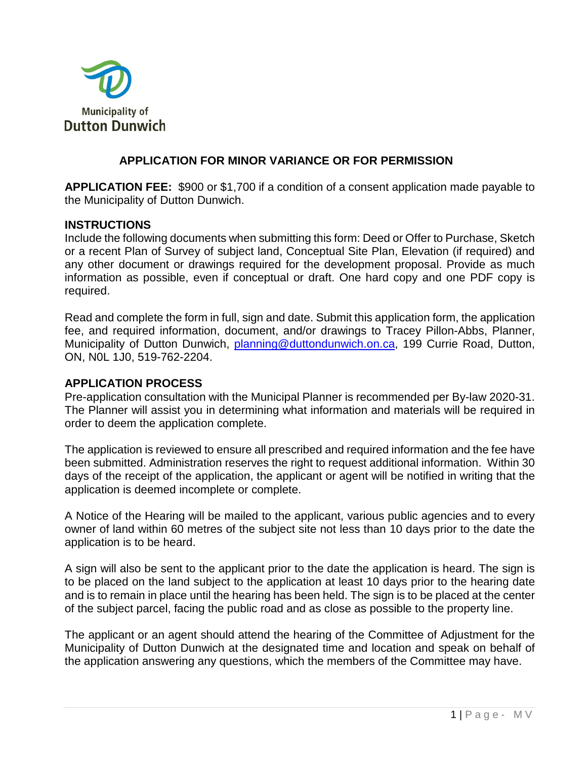

## **APPLICATION FOR MINOR VARIANCE OR FOR PERMISSION**

**APPLICATION FEE:** \$900 or \$1,700 if a condition of a consent application made payable to the Municipality of Dutton Dunwich.

#### **INSTRUCTIONS**

Include the following documents when submitting this form: Deed or Offer to Purchase, Sketch or a recent Plan of Survey of subject land, Conceptual Site Plan, Elevation (if required) and any other document or drawings required for the development proposal. Provide as much information as possible, even if conceptual or draft. One hard copy and one PDF copy is required.

Read and complete the form in full, sign and date. Submit this application form, the application fee, and required information, document, and/or drawings to Tracey Pillon-Abbs, Planner, Municipality of Dutton Dunwich, [planning@duttondunwich.on.ca,](mailto:planning@duttondunwich.on.ca) 199 Currie Road, Dutton, ON, N0L 1J0, 519-762-2204.

#### **APPLICATION PROCESS**

Pre-application consultation with the Municipal Planner is recommended per By-law 2020-31. The Planner will assist you in determining what information and materials will be required in order to deem the application complete.

The application is reviewed to ensure all prescribed and required information and the fee have been submitted. Administration reserves the right to request additional information. Within 30 days of the receipt of the application, the applicant or agent will be notified in writing that the application is deemed incomplete or complete.

A Notice of the Hearing will be mailed to the applicant, various public agencies and to every owner of land within 60 metres of the subject site not less than 10 days prior to the date the application is to be heard.

A sign will also be sent to the applicant prior to the date the application is heard. The sign is to be placed on the land subject to the application at least 10 days prior to the hearing date and is to remain in place until the hearing has been held. The sign is to be placed at the center of the subject parcel, facing the public road and as close as possible to the property line.

The applicant or an agent should attend the hearing of the Committee of Adjustment for the Municipality of Dutton Dunwich at the designated time and location and speak on behalf of the application answering any questions, which the members of the Committee may have.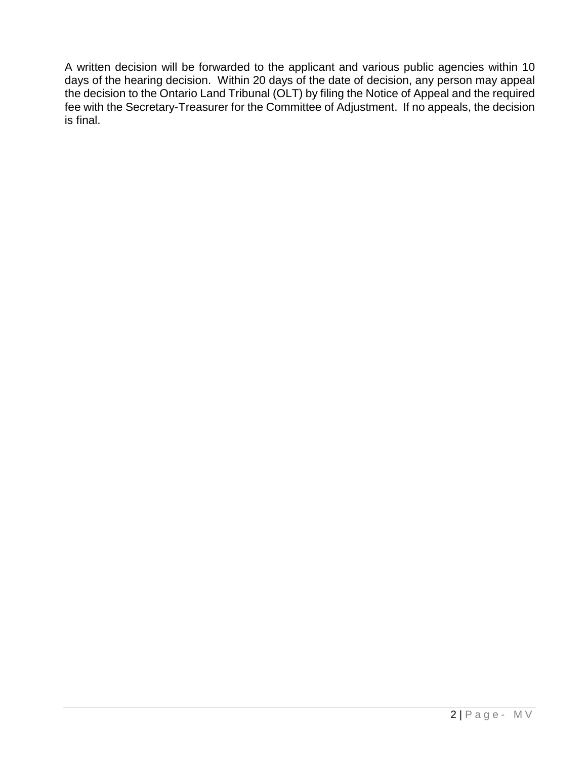A written decision will be forwarded to the applicant and various public agencies within 10 days of the hearing decision. Within 20 days of the date of decision, any person may appeal the decision to the Ontario Land Tribunal (OLT) by filing the Notice of Appeal and the required fee with the Secretary-Treasurer for the Committee of Adjustment. If no appeals, the decision is final.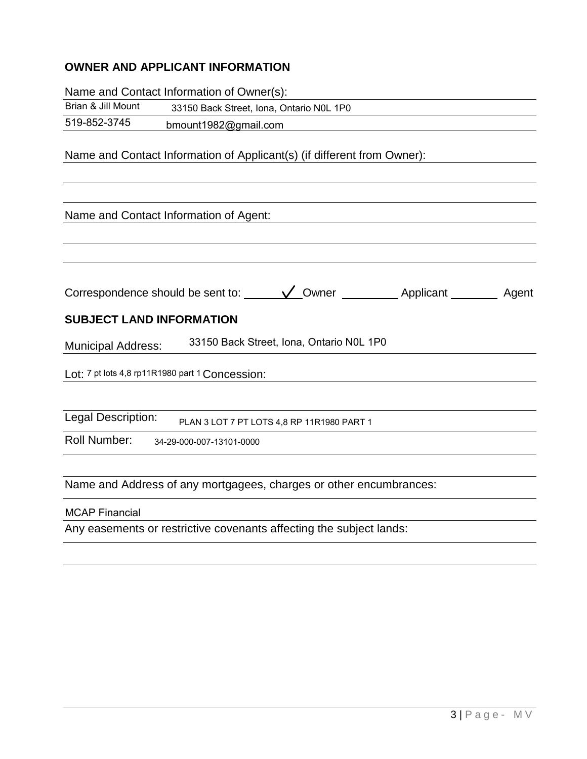# **OWNER AND APPLICANT INFORMATION**

Name and Contact Information of Owner(s):

| Brian & Jill Mount | 33150 Back Street, Iona, Ontario N0L 1P0 |
|--------------------|------------------------------------------|
| 519-852-3745       | bmount1982@gmail.com                     |

Name and Contact Information of Applicant(s) (if different from Owner):

| Name and Contact Information of Agent:                                |
|-----------------------------------------------------------------------|
|                                                                       |
|                                                                       |
|                                                                       |
|                                                                       |
| <b>SUBJECT LAND INFORMATION</b>                                       |
| 33150 Back Street, Iona, Ontario NOL 1P0<br><b>Municipal Address:</b> |
| Lot: 7 pt lots 4,8 rp11R1980 part 1 Concession:                       |
|                                                                       |
| Legal Description:<br>PLAN 3 LOT 7 PT LOTS 4,8 RP 11R1980 PART 1      |
| <b>Roll Number:</b><br>34-29-000-007-13101-0000                       |
|                                                                       |
| Name and Address of any mortgagees, charges or other encumbrances:    |
| <b>MCAP Financial</b>                                                 |
| <b>Contract Contract Contract Contract</b>                            |

Any easements or restrictive covenants affecting the subject lands: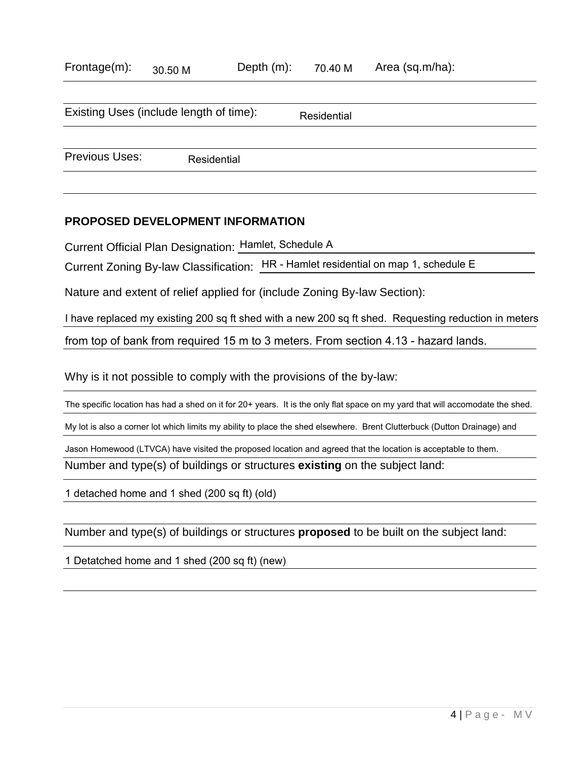| Frontage(m): | 30.50 M | Depth $(m)$ : | 70.40 M | Area (sq.m/ha): |
|--------------|---------|---------------|---------|-----------------|
|--------------|---------|---------------|---------|-----------------|

|                       | Existing Uses (include length of time): | Residential |
|-----------------------|-----------------------------------------|-------------|
|                       |                                         |             |
| <b>Previous Uses:</b> | Residential                             |             |

#### **PROPOSED DEVELOPMENT INFORMATION**

Current Official Plan Designation: Hamlet, Schedule A

Current Zoning By-law Classification: HR - Hamlet residential on map 1, schedule E

Nature and extent of relief applied for (include Zoning By-law Section):

I have replaced my existing 200 sq ft shed with a new 200 sq ft shed. Requesting reduction in meters

from top of bank from required 15 m to 3 meters. From section 4.13 - hazard lands.

Why is it not possible to comply with the provisions of the by-law:

The specific location has had a shed on it for 20+ years. It is the only flat space on my yard that will accomodate the shed.

My lot is also a corner lot which limits my ability to place the shed elsewhere. Brent Clutterbuck (Dutton Drainage) and

Jason Homewood (LTVCA) have visited the proposed location and agreed that the location is acceptable to them.

Number and type(s) of buildings or structures **existing** on the subject land:

1 detached home and 1 shed (200 sq ft) (old)

Number and type(s) of buildings or structures **proposed** to be built on the subject land:

1 Detatched home and 1 shed (200 sq ft) (new)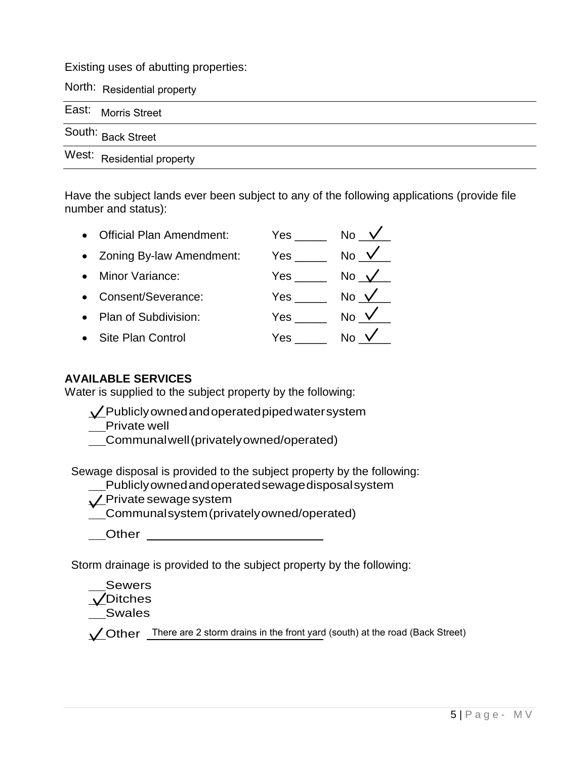Existing uses of abutting properties:

North: Residential property

| East: Morris Street        |
|----------------------------|
| South: Back Street         |
| West: Residential property |

Have the subject lands ever been subject to any of the following applications (provide file number and status):

| <b>Official Plan Amendment:</b> | Yes        | <b>No</b>     |
|---------------------------------|------------|---------------|
| • Zoning By-law Amendment:      | Yes        | <b>No</b>     |
| Minor Variance:                 | Yes        | No $\sqrt{ }$ |
| • Consent/Severance:            | <b>Yes</b> | No $\sqrt{ }$ |
| • Plan of Subdivision:          | Yes        | <b>No</b>     |
| <b>Site Plan Control</b>        | Yes        | N٥            |

## **AVAILABLE SERVICES**

Water is supplied to the subject property by the following:

Publiclyownedandoperatedpipedwatersystem

Private well

Communalwell(privatelyowned/operated)

Sewage disposal is provided to the subject property by the following:

Publiclyownedandoperatedsewagedisposalsystem

**L**Private sewage system

Communalsystem(privatelyowned/operated)

**Other** 

Storm drainage is provided to the subject property by the following:

Sewers **V**Ditches

Swales

Other There are 2 storm drains in the front yard (south) at the road (Back Street)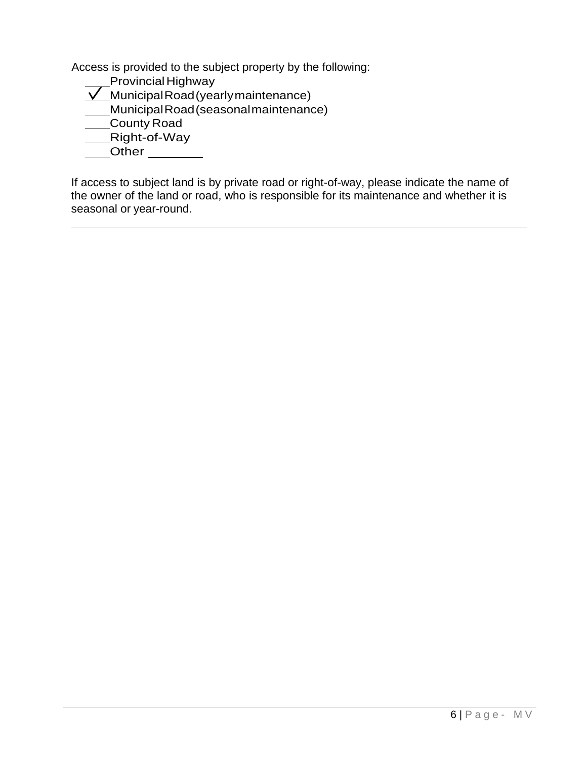Access is provided to the subject property by the following:

- ss is provided to the su<br>Provincial Highway
- Provincial Highway<br>  $\sqrt{\phantom{a}}$ Municipal Road (yearly maintenance)
- \_\_Provincial riighway<br>\_\_MunicipalRoad(yearly maintenance)<br>\_\_MunicipalRoad(seasonal maintenance) Ununiciparico<br>MunicipalRoad<br>— Digbt of Wo
- \_County Road<br>\_Right-of-Way
- 
- Other<sub>1</sub>

If access to subject land is by private road or right-of-way, please indicate the name of the owner of the land or road, who is responsible for its maintenance and whether it is seasonal or year-round.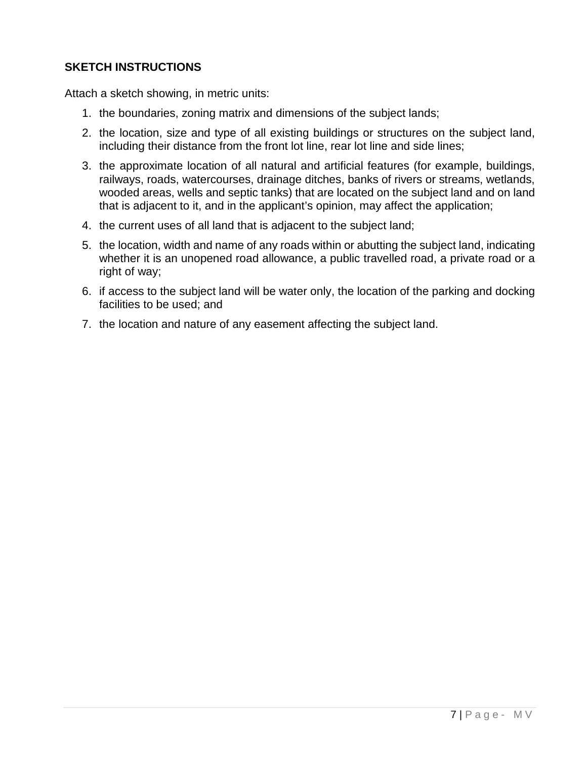# **SKETCH INSTRUCTIONS**

Attach a sketch showing, in metric units:

- 1. the boundaries, zoning matrix and dimensions of the subject lands;
- 2. the location, size and type of all existing buildings or structures on the subject land, including their distance from the front lot line, rear lot line and side lines;
- 3. the approximate location of all natural and artificial features (for example, buildings, railways, roads, watercourses, drainage ditches, banks of rivers or streams, wetlands, wooded areas, wells and septic tanks) that are located on the subject land and on land that is adjacent to it, and in the applicant's opinion, may affect the application;
- 4. the current uses of all land that is adjacent to the subject land;
- 5. the location, width and name of any roads within or abutting the subject land, indicating whether it is an unopened road allowance, a public travelled road, a private road or a right of way;
- 6. if access to the subject land will be water only, the location of the parking and docking facilities to be used; and
- 7. the location and nature of any easement affecting the subject land.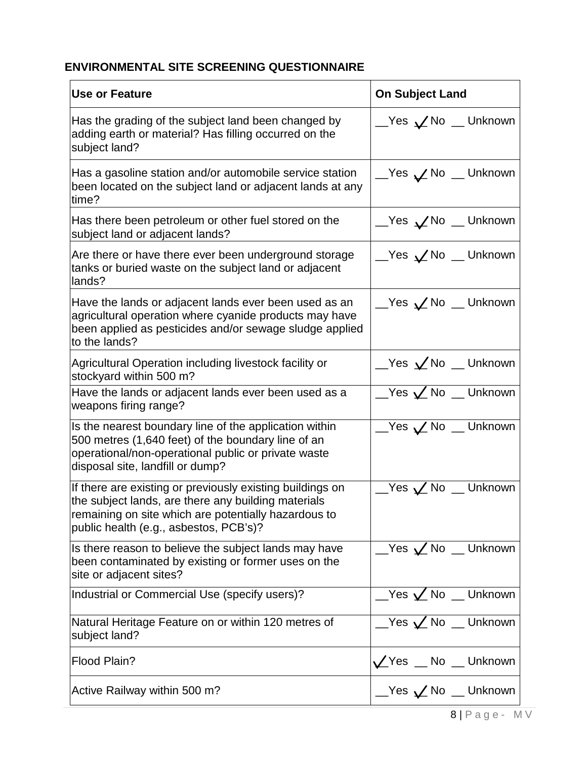# **ENVIRONMENTAL SITE SCREENING QUESTIONNAIRE**

| <b>Use or Feature</b>                                                                                                                                                                                              | <b>On Subject Land</b>                    |
|--------------------------------------------------------------------------------------------------------------------------------------------------------------------------------------------------------------------|-------------------------------------------|
| Has the grading of the subject land been changed by<br>adding earth or material? Has filling occurred on the<br>subject land?                                                                                      | <u></u> Yes ∠No _Unknown                  |
| Has a gasoline station and/or automobile service station<br>been located on the subject land or adjacent lands at any<br>time?                                                                                     | <u></u> Yes ∠ No _ Unknown                |
| Has there been petroleum or other fuel stored on the<br>subject land or adjacent lands?                                                                                                                            | <u></u> Yes ∠No _Unknown                  |
| Are there or have there ever been underground storage<br>tanks or buried waste on the subject land or adjacent<br>lands?                                                                                           | __Yes ∠No __ Unknown                      |
| Have the lands or adjacent lands ever been used as an<br>agricultural operation where cyanide products may have<br>been applied as pesticides and/or sewage sludge applied<br>to the lands?                        | <u>__</u> Yes <b>∠</b> No __ Unknown      |
| Agricultural Operation including livestock facility or<br>stockyard within 500 m?                                                                                                                                  | $Yes \swarrow$ No $Yen$ Unknown           |
| Have the lands or adjacent lands ever been used as a<br>weapons firing range?                                                                                                                                      | $\angle$ Yes $\angle$ No $\angle$ Unknown |
| Is the nearest boundary line of the application within<br>500 metres (1,640 feet) of the boundary line of an<br>operational/non-operational public or private waste<br>disposal site, landfill or dump?            | <u></u> Yes ∠ No _ Unknown                |
| If there are existing or previously existing buildings on<br>the subject lands, are there any building materials<br>remaining on site which are potentially hazardous to<br>public health (e.g., asbestos, PCB's)? | $\_\,$ Yes $\swarrow$ No $\_\,$ Unknown   |
| Is there reason to believe the subject lands may have<br>been contaminated by existing or former uses on the<br>site or adjacent sites?                                                                            | $\angle$ Yes $\angle$ No $\angle$ Unknown |
| Industrial or Commercial Use (specify users)?                                                                                                                                                                      | $\angle$ Yes $\angle$ No $\angle$ Unknown |
| Natural Heritage Feature on or within 120 metres of<br>subject land?                                                                                                                                               | $Yes \swarrow No$ Unknown                 |
| Flood Plain?                                                                                                                                                                                                       | Yes _ No _ Unknown                        |
| Active Railway within 500 m?                                                                                                                                                                                       | <u></u> Yes ∠ No _ Unknown                |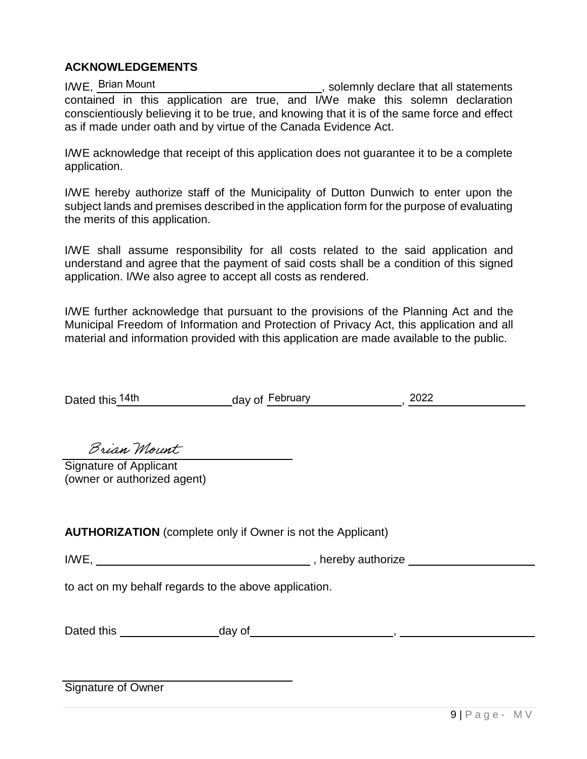## **ACKNOWLEDGEMENTS**

I/WE, Brian Mount **Construction Controller Construction**, solemnly declare that all statements contained in this application are true, and I/We make this solemn declaration conscientiously believing it to be true, and knowing that it is of the same force and effect as if made under oath and by virtue of the Canada Evidence Act. I/WE, Brian Mount

I/WE acknowledge that receipt of this application does not guarantee it to be a complete application.

I/WE hereby authorize staff of the Municipality of Dutton Dunwich to enter upon the subject lands and premises described in the application form for the purpose of evaluating the merits of this application.

I/WE shall assume responsibility for all costs related to the said application and understand and agree that the payment of said costs shall be a condition of this signed application. I/We also agree to accept all costs as rendered.

I/WE further acknowledge that pursuant to the provisions of the Planning Act and the Municipal Freedom of Information and Protection of Privacy Act, this application and all material and information provided with this application are made available to the public.

|                                                       | Dated this 14th day of February 10022                              |  |
|-------------------------------------------------------|--------------------------------------------------------------------|--|
|                                                       |                                                                    |  |
|                                                       |                                                                    |  |
| Brian Mount                                           |                                                                    |  |
| Signature of Applicant                                |                                                                    |  |
| (owner or authorized agent)                           |                                                                    |  |
|                                                       |                                                                    |  |
|                                                       |                                                                    |  |
|                                                       | <b>AUTHORIZATION</b> (complete only if Owner is not the Applicant) |  |
|                                                       | I/WE, Nereby authorize                                             |  |
| to act on my behalf regards to the above application. |                                                                    |  |
|                                                       |                                                                    |  |
|                                                       |                                                                    |  |
|                                                       |                                                                    |  |
|                                                       |                                                                    |  |
|                                                       |                                                                    |  |
| Signature of Owner                                    |                                                                    |  |